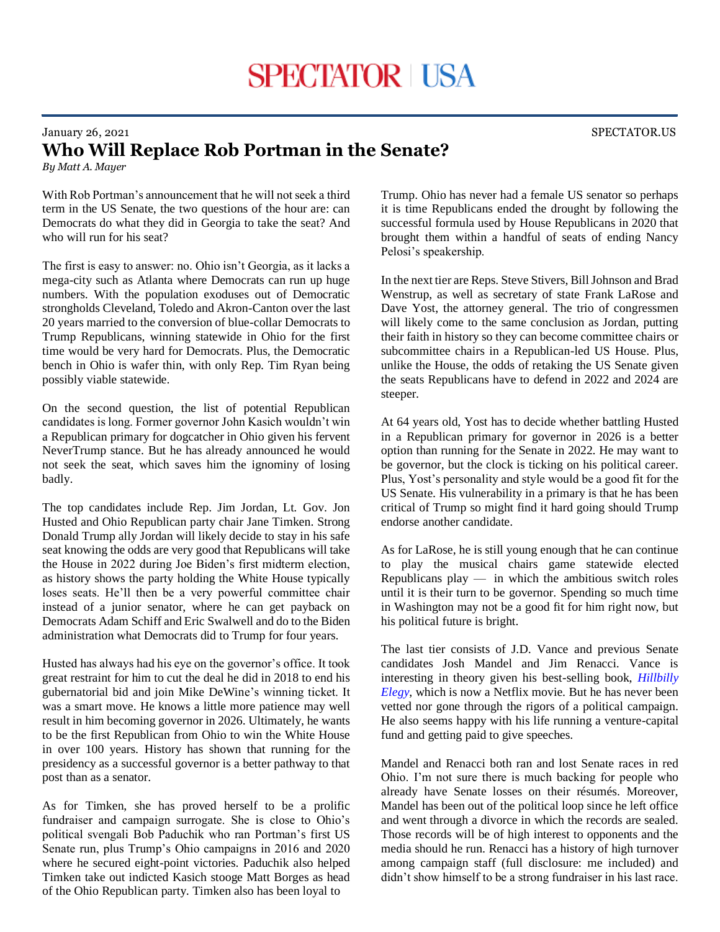## January 26, 2021 SPECTATOR.US **Who Will Replace Rob Portman in the Senate?**

*By Matt A. Mayer*

With Rob Portman's announcement that he will not seek a third term in the US Senate, the two questions of the hour are: can Democrats do what they did in Georgia to take the seat? And who will run for his seat?

The first is easy to answer: no. Ohio isn't Georgia, as it lacks a mega-city such as Atlanta where Democrats can run up huge numbers. With the population exoduses out of Democratic strongholds Cleveland, Toledo and Akron-Canton over the last 20 years married to the conversion of blue-collar Democrats to Trump Republicans, winning statewide in Ohio for the first time would be very hard for Democrats. Plus, the Democratic bench in Ohio is wafer thin, with only Rep. Tim Ryan being possibly viable statewide.

On the second question, the list of potential Republican candidates is long. Former governor John Kasich wouldn't win a Republican primary for dogcatcher in Ohio given his fervent NeverTrump stance. But he has already announced he would not seek the seat, which saves him the ignominy of losing badly.

The top candidates include Rep. Jim Jordan, Lt. Gov. Jon Husted and Ohio Republican party chair Jane Timken. Strong Donald Trump ally Jordan will likely decide to stay in his safe seat knowing the odds are very good that Republicans will take the House in 2022 during Joe Biden's first midterm election, as history shows the party holding the White House typically loses seats. He'll then be a very powerful committee chair instead of a junior senator, where he can get payback on Democrats Adam Schiff and Eric Swalwell and do to the Biden administration what Democrats did to Trump for four years.

Husted has always had his eye on the governor's office. It took great restraint for him to cut the deal he did in 2018 to end his gubernatorial bid and join Mike DeWine's winning ticket. It was a smart move. He knows a little more patience may well result in him becoming governor in 2026. Ultimately, he wants to be the first Republican from Ohio to win the White House in over 100 years. History has shown that running for the presidency as a successful governor is a better pathway to that post than as a senator.

As for Timken, she has proved herself to be a prolific fundraiser and campaign surrogate. She is close to Ohio's political svengali Bob Paduchik who ran Portman's first US Senate run, plus Trump's Ohio campaigns in 2016 and 2020 where he secured eight-point victories. Paduchik also helped Timken take out indicted Kasich stooge Matt Borges as head of the Ohio Republican party. Timken also has been loyal to

Trump. Ohio has never had a female US senator so perhaps it is time Republicans ended the drought by following the successful formula used by House Republicans in 2020 that brought them within a handful of seats of ending Nancy Pelosi's speakership.

In the next tier are Reps. Steve Stivers, Bill Johnson and Brad Wenstrup, as well as secretary of state Frank LaRose and Dave Yost, the attorney general. The trio of congressmen will likely come to the same conclusion as Jordan, putting their faith in history so they can become committee chairs or subcommittee chairs in a Republican-led US House. Plus, unlike the House, the odds of retaking the US Senate given the seats Republicans have to defend in 2022 and 2024 are steeper.

At 64 years old, Yost has to decide whether battling Husted in a Republican primary for governor in 2026 is a better option than running for the Senate in 2022. He may want to be governor, but the clock is ticking on his political career. Plus, Yost's personality and style would be a good fit for the US Senate. His vulnerability in a primary is that he has been critical of Trump so might find it hard going should Trump endorse another candidate.

As for LaRose, he is still young enough that he can continue to play the musical chairs game statewide elected Republicans play — in which the ambitious switch roles until it is their turn to be governor. Spending so much time in Washington may not be a good fit for him right now, but his political future is bright.

The last tier consists of J.D. Vance and previous Senate candidates Josh Mandel and Jim Renacci. Vance is interesting in theory given his best-selling book, *[Hillbilly](https://bookshop.org/a/3057/9780062300553)  [Elegy](https://bookshop.org/a/3057/9780062300553)*, which is now a Netflix movie. But he has never been vetted nor gone through the rigors of a political campaign. He also seems happy with his life running a venture-capital fund and getting paid to give speeches.

Mandel and Renacci both ran and lost Senate races in red Ohio. I'm not sure there is much backing for people who already have Senate losses on their résumés. Moreover, Mandel has been out of the political loop since he left office and went through a divorce in which the records are sealed. Those records will be of high interest to opponents and the media should he run. Renacci has a history of high turnover among campaign staff (full disclosure: me included) and didn't show himself to be a strong fundraiser in his last race.